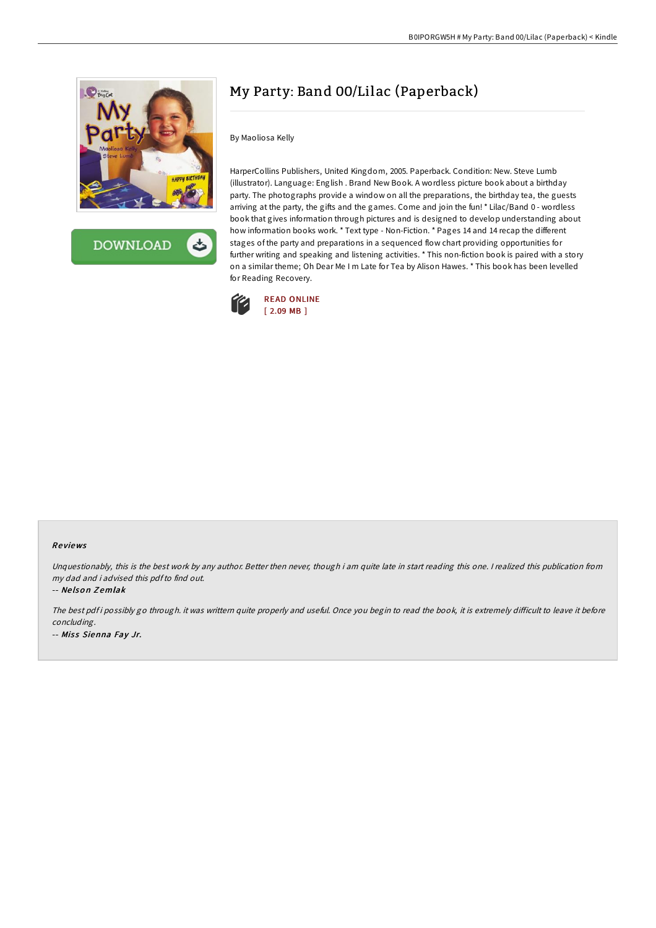

**DOWNLOAD** ٹ

## My Party: Band 00/Lilac (Paperback)

By Maoliosa Kelly

HarperCollins Publishers, United Kingdom, 2005. Paperback. Condition: New. Steve Lumb (illustrator). Language: English . Brand New Book. A wordless picture book about a birthday party. The photographs provide a window on all the preparations, the birthday tea, the guests arriving at the party, the gifts and the games. Come and join the fun! \* Lilac/Band 0 - wordless book that gives information through pictures and is designed to develop understanding about how information books work. \* Text type - Non-Fiction. \* Pages 14 and 14 recap the different stages of the party and preparations in a sequenced flow chart providing opportunities for further writing and speaking and listening activities. \* This non-fiction book is paired with a story on a similar theme; Oh Dear Me I m Late for Tea by Alison Hawes. \* This book has been levelled for Reading Recovery.



## Re views

Unquestionably, this is the best work by any author. Better then never, though i am quite late in start reading this one. <sup>I</sup> realized this publication from my dad and i advised this pdfto find out.

-- Ne lso <sup>n</sup> Z emlak

The best pdf i possibly go through. it was writtern quite properly and useful. Once you begin to read the book, it is extremely difficult to leave it before concluding. -- Miss Sienna Fay Jr.